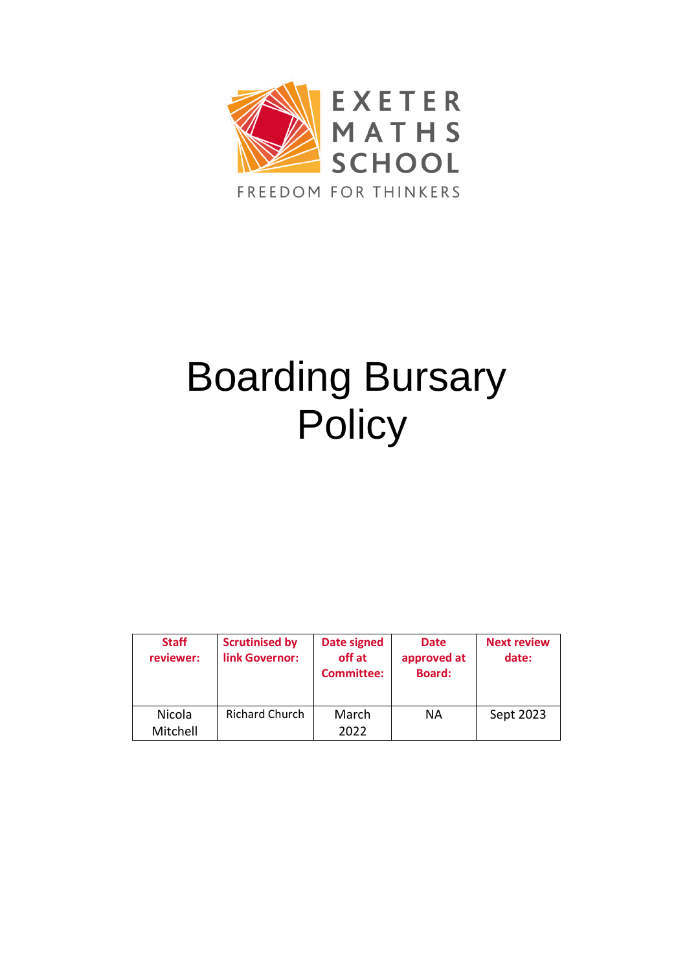

# Boarding Bursary **Policy**

| <b>Staff</b><br>reviewer: | <b>Scrutinised by</b><br>link Governor: | <b>Date signed</b><br>off at<br><b>Committee:</b> | <b>Date</b><br>approved at<br><b>Board:</b> | <b>Next review</b><br>date: |
|---------------------------|-----------------------------------------|---------------------------------------------------|---------------------------------------------|-----------------------------|
| Nicola                    | <b>Richard Church</b>                   | March                                             | ΝA                                          | Sept 2023                   |
| Mitchell                  |                                         | 2022                                              |                                             |                             |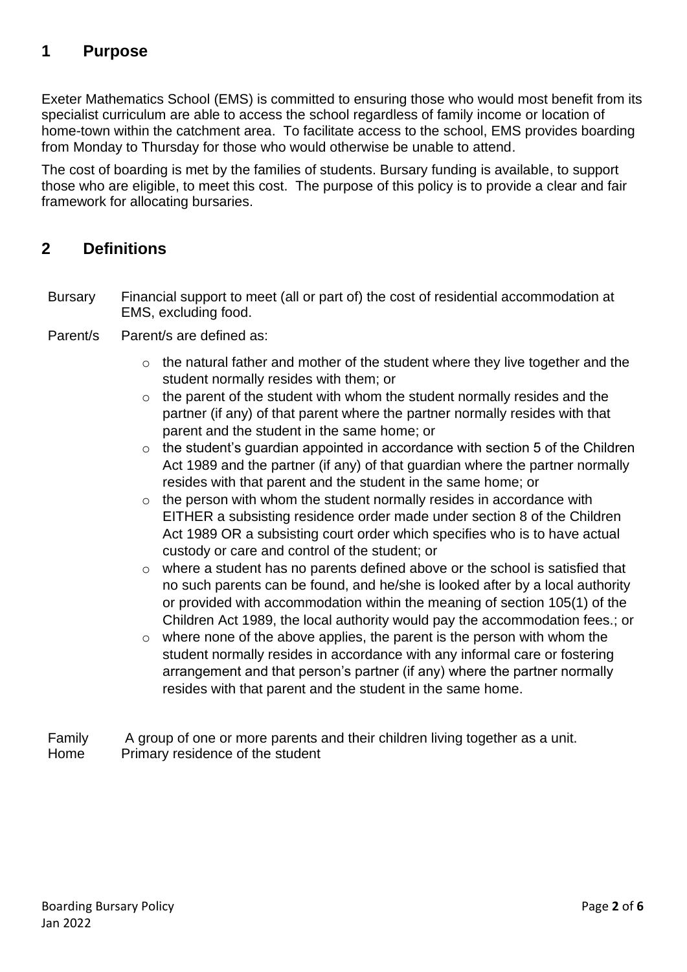# **1 Purpose**

Exeter Mathematics School (EMS) is committed to ensuring those who would most benefit from its specialist curriculum are able to access the school regardless of family income or location of home-town within the catchment area. To facilitate access to the school, EMS provides boarding from Monday to Thursday for those who would otherwise be unable to attend.

The cost of boarding is met by the families of students. Bursary funding is available, to support those who are eligible, to meet this cost. The purpose of this policy is to provide a clear and fair framework for allocating bursaries.

## **2 Definitions**

- Bursary Financial support to meet (all or part of) the cost of residential accommodation at EMS, excluding food.
- Parent/s Parent/s are defined as:
	- $\circ$  the natural father and mother of the student where they live together and the student normally resides with them; or
	- $\circ$  the parent of the student with whom the student normally resides and the partner (if any) of that parent where the partner normally resides with that parent and the student in the same home; or
	- $\circ$  the student's guardian appointed in accordance with section 5 of the Children Act 1989 and the partner (if any) of that guardian where the partner normally resides with that parent and the student in the same home; or
	- $\circ$  the person with whom the student normally resides in accordance with EITHER a subsisting residence order made under section 8 of the Children Act 1989 OR a subsisting court order which specifies who is to have actual custody or care and control of the student; or
	- o where a student has no parents defined above or the school is satisfied that no such parents can be found, and he/she is looked after by a local authority or provided with accommodation within the meaning of section 105(1) of the Children Act 1989, the local authority would pay the accommodation fees.; or
	- o where none of the above applies, the parent is the person with whom the student normally resides in accordance with any informal care or fostering arrangement and that person's partner (if any) where the partner normally resides with that parent and the student in the same home.
- Family A group of one or more parents and their children living together as a unit. Home Primary residence of the student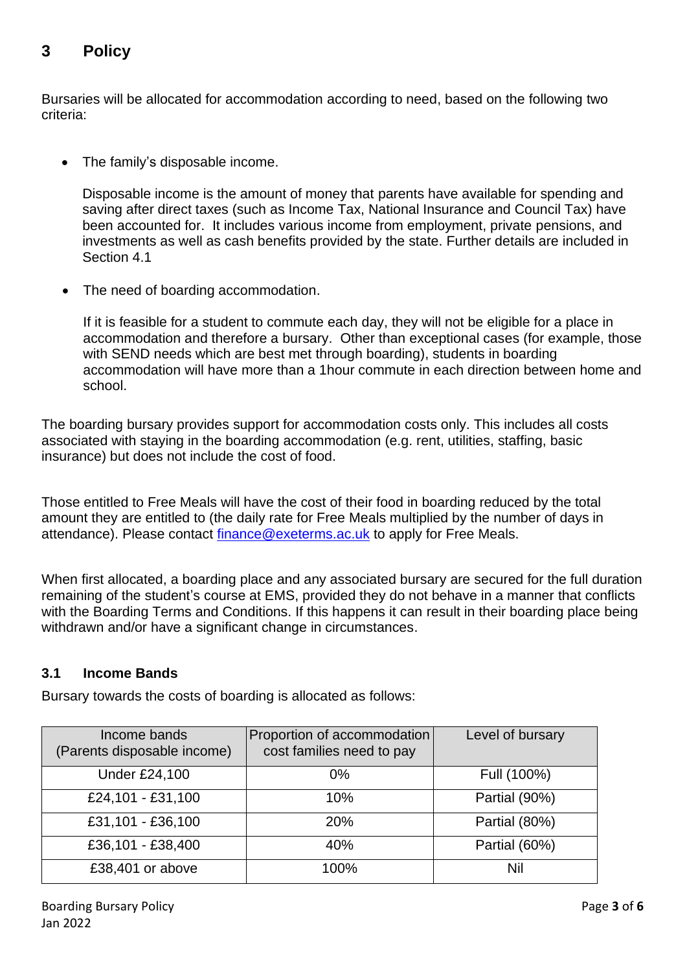# **3 Policy**

Bursaries will be allocated for accommodation according to need, based on the following two criteria:

• The family's disposable income.

Disposable income is the amount of money that parents have available for spending and saving after direct taxes (such as Income Tax, National Insurance and Council Tax) have been accounted for. It includes various income from employment, private pensions, and investments as well as cash benefits provided by the state. Further details are included in Section 4.1

The need of boarding accommodation.

If it is feasible for a student to commute each day, they will not be eligible for a place in accommodation and therefore a bursary. Other than exceptional cases (for example, those with SEND needs which are best met through boarding), students in boarding accommodation will have more than a 1hour commute in each direction between home and school.

The boarding bursary provides support for accommodation costs only. This includes all costs associated with staying in the boarding accommodation (e.g. rent, utilities, staffing, basic insurance) but does not include the cost of food.

Those entitled to Free Meals will have the cost of their food in boarding reduced by the total amount they are entitled to (the daily rate for Free Meals multiplied by the number of days in attendance). Please contact [finance@exeterms.ac.uk](mailto:finance@exeterms.ac.uk) to apply for Free Meals.

When first allocated, a boarding place and any associated bursary are secured for the full duration remaining of the student's course at EMS, provided they do not behave in a manner that conflicts with the Boarding Terms and Conditions. If this happens it can result in their boarding place being withdrawn and/or have a significant change in circumstances.

#### **3.1 Income Bands**

Bursary towards the costs of boarding is allocated as follows:

| Income bands<br>(Parents disposable income) | Proportion of accommodation<br>cost families need to pay | Level of bursary |
|---------------------------------------------|----------------------------------------------------------|------------------|
| <b>Under £24,100</b>                        | $0\%$                                                    | Full (100%)      |
| £24,101 - £31,100                           | 10%                                                      | Partial (90%)    |
| £31,101 - £36,100                           | 20%                                                      | Partial (80%)    |
| £36,101 - £38,400                           | 40%                                                      | Partial (60%)    |
| £38,401 or above                            | 100%                                                     | Nil              |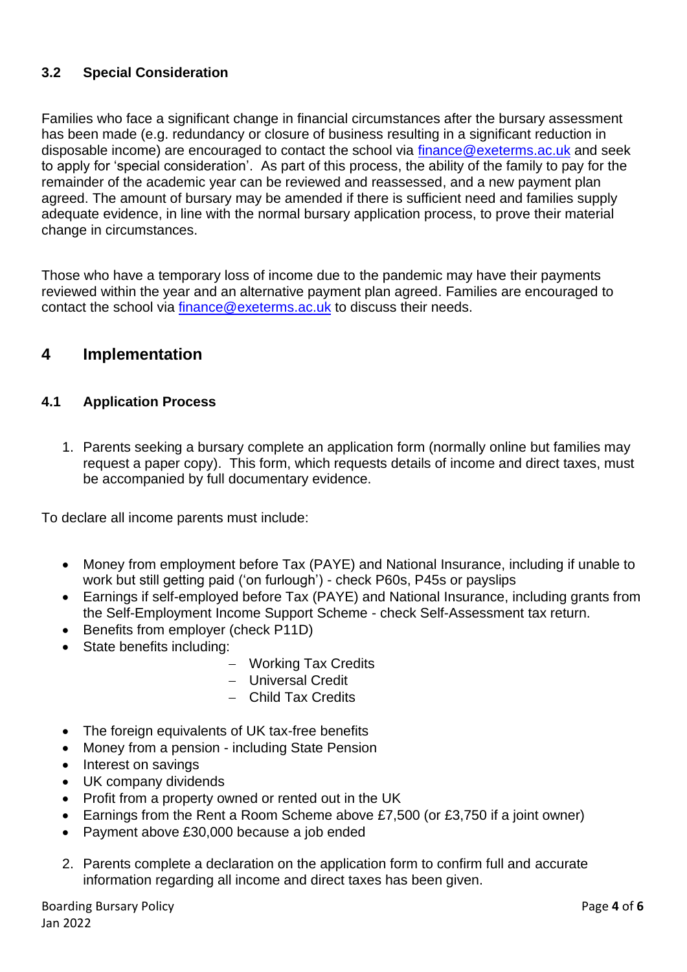#### **3.2 Special Consideration**

Families who face a significant change in financial circumstances after the bursary assessment has been made (e.g. redundancy or closure of business resulting in a significant reduction in disposable income) are encouraged to contact the school via [finance@exeterms.ac.uk](mailto:finance@exterms.ac.uk) and seek to apply for 'special consideration'. As part of this process, the ability of the family to pay for the remainder of the academic year can be reviewed and reassessed, and a new payment plan agreed. The amount of bursary may be amended if there is sufficient need and families supply adequate evidence, in line with the normal bursary application process, to prove their material change in circumstances.

Those who have a temporary loss of income due to the pandemic may have their payments reviewed within the year and an alternative payment plan agreed. Families are encouraged to contact the school via [finance@exeterms.ac.uk](mailto:finance@exterms.ac.uk) to discuss their needs.

# **4 Implementation**

#### **4.1 Application Process**

1. Parents seeking a bursary complete an application form (normally online but families may request a paper copy). This form, which requests details of income and direct taxes, must be accompanied by full documentary evidence.

To declare all income parents must include:

- Money from employment before Tax (PAYE) and National Insurance, including if unable to work but still getting paid ('on furlough') - check P60s, P45s or payslips
- Earnings if self-employed before Tax (PAYE) and National Insurance, including grants from the Self-Employment Income Support Scheme - check Self-Assessment tax return.
- Benefits from employer (check P11D)
- State benefits including:
	- − Working Tax Credits
	- − Universal Credit
	- − Child Tax Credits
- The foreign equivalents of UK tax-free benefits
- Money from a pension including State Pension
- Interest on savings
- UK company dividends
- Profit from a property owned or rented out in the UK
- Earnings from the Rent a Room Scheme above £7,500 (or £3,750 if a joint owner)
- Payment above £30,000 because a job ended
- 2. Parents complete a declaration on the application form to confirm full and accurate information regarding all income and direct taxes has been given.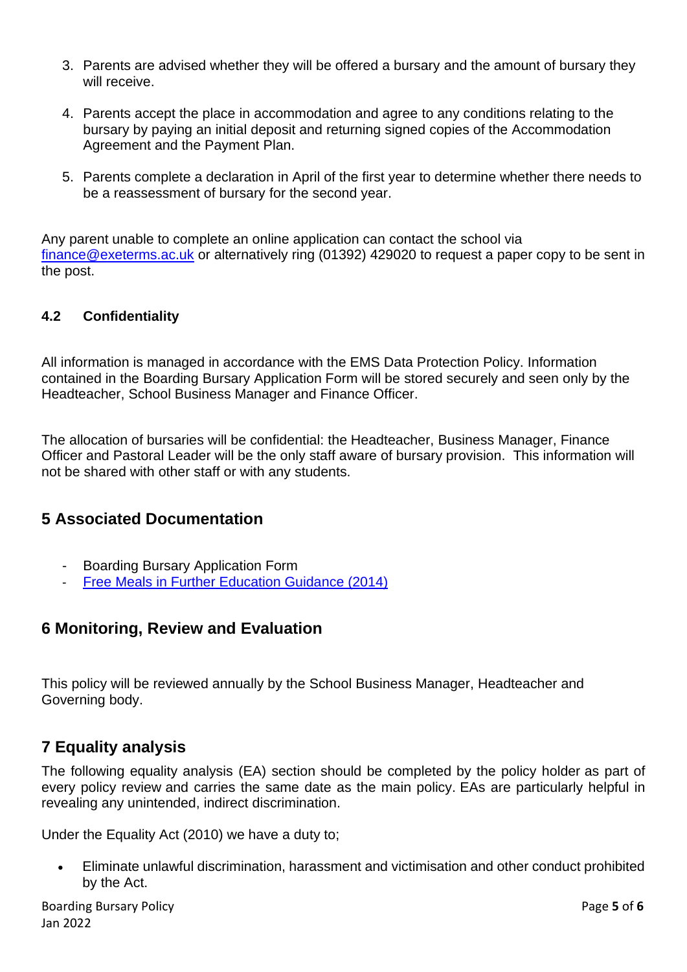- 3. Parents are advised whether they will be offered a bursary and the amount of bursary they will receive.
- 4. Parents accept the place in accommodation and agree to any conditions relating to the bursary by paying an initial deposit and returning signed copies of the Accommodation Agreement and the Payment Plan.
- 5. Parents complete a declaration in April of the first year to determine whether there needs to be a reassessment of bursary for the second year.

Any parent unable to complete an online application can contact the school via [finance@exeterms.ac.uk](mailto:finance@exeterms.ac.uk) or alternatively ring (01392) 429020 to request a paper copy to be sent in the post.

#### **4.2 Confidentiality**

All information is managed in accordance with the EMS Data Protection Policy. Information contained in the Boarding Bursary Application Form will be stored securely and seen only by the Headteacher, School Business Manager and Finance Officer.

The allocation of bursaries will be confidential: the Headteacher, Business Manager, Finance Officer and Pastoral Leader will be the only staff aware of bursary provision. This information will not be shared with other staff or with any students.

## **5 Associated Documentation**

- Boarding Bursary Application Form
- [Free Meals in Further Education Guidance \(2014\)](https://assets.publishing.service.gov.uk/government/uploads/system/uploads/attachment_data/file/354858/free_meals_in_further_education_-_Sept_2014.pdf)

## **6 Monitoring, Review and Evaluation**

This policy will be reviewed annually by the School Business Manager, Headteacher and Governing body.

# **7 Equality analysis**

The following equality analysis (EA) section should be completed by the policy holder as part of every policy review and carries the same date as the main policy. EAs are particularly helpful in revealing any unintended, indirect discrimination.

Under the Equality Act (2010) we have a duty to;

• Eliminate unlawful discrimination, harassment and victimisation and other conduct prohibited by the Act.